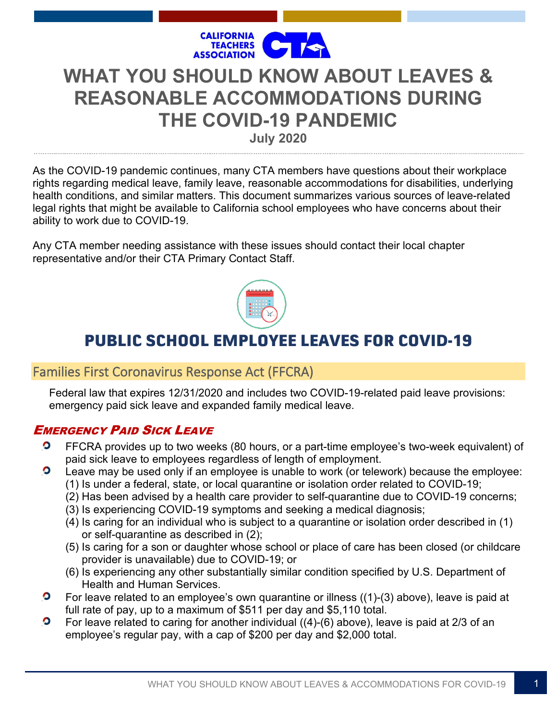

# **WHAT YOU SHOULD KNOW ABOUT LEAVES & REASONABLE ACCOMMODATIONS DURING THE COVID-19 PANDEMIC**

**July 2020**

As the COVID-19 pandemic continues, many CTA members have questions about their workplace rights regarding medical leave, family leave, reasonable accommodations for disabilities, underlying health conditions, and similar matters. This document summarizes various sources of leave-related legal rights that might be available to California school employees who have concerns about their ability to work due to COVID-19.

Any CTA member needing assistance with these issues should contact their local chapter representative and/or their CTA Primary Contact Staff.



# **PUBLIC SCHOOL EMPLOYEE LEAVES FOR COVID-19**

# Families First Coronavirus Response Act (FFCRA)

Federal law that expires 12/31/2020 and includes two COVID-19-related paid leave provisions: emergency paid sick leave and expanded family medical leave.

# EMERGENCY PAID SICK LEAVE

- $\bullet$ FFCRA provides up to two weeks (80 hours, or a part-time employee's two-week equivalent) of paid sick leave to employees regardless of length of employment.  $\bullet$ 
	- Leave may be used only if an employee is unable to work (or telework) because the employee: (1) Is under a federal, state, or local quarantine or isolation order related to COVID-19;
		- (2) Has been advised by a health care provider to self-quarantine due to COVID-19 concerns;
		- (3) Is experiencing COVID-19 symptoms and seeking a medical diagnosis;
		- (4) Is caring for an individual who is subject to a quarantine or isolation order described in (1) or self-quarantine as described in (2);
		- (5) Is caring for a son or daughter whose school or place of care has been closed (or childcare provider is unavailable) due to COVID-19; or
		- (6) Is experiencing any other substantially similar condition specified by U.S. Department of Health and Human Services.
- $\bullet$ For leave related to an employee's own quarantine or illness ((1)-(3) above), leave is paid at full rate of pay, up to a maximum of \$511 per day and \$5,110 total.
- $\bullet$ For leave related to caring for another individual ((4)-(6) above), leave is paid at 2/3 of an employee's regular pay, with a cap of \$200 per day and \$2,000 total.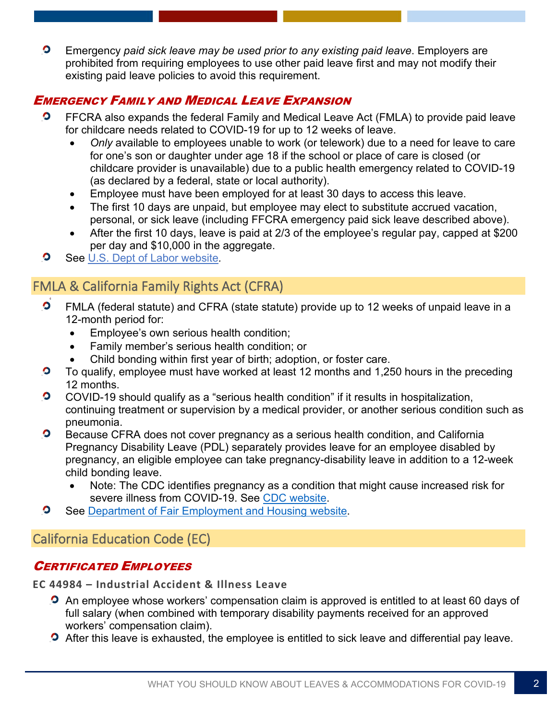$\bullet$ Emergency *paid sick leave may be used prior to any existing paid leave*. Employers are prohibited from requiring employees to use other paid leave first and may not modify their existing paid leave policies to avoid this requirement.

# EMERGENCY FAMILY AND MEDICAL LEAVE EXPANSION

- $\bullet$ FFCRA also expands the federal Family and Medical Leave Act (FMLA) to provide paid leave for childcare needs related to COVID-19 for up to 12 weeks of leave.
	- *Only* available to employees unable to work (or telework) due to a need for leave to care for one's son or daughter under age 18 if the school or place of care is closed (or childcare provider is unavailable) due to a public health emergency related to COVID-19 (as declared by a federal, state or local authority).
	- Employee must have been employed for at least 30 days to access this leave.
	- The first 10 days are unpaid, but employee may elect to substitute accrued vacation, personal, or sick leave (including FFCRA emergency paid sick leave described above).
	- After the first 10 days, leave is paid at 2/3 of the employee's regular pay, capped at \$200 per day and \$10,000 in the aggregate.
- $\bullet$ See [U.S. Dept of Labor website](https://www.dol.gov/agencies/whd/pandemic/ffcra-employer-paid-leave)*.*

# FMLA & California Family Rights Act (CFRA)

- $\bullet$ FMLA (federal statute) and CFRA (state statute) provide up to 12 weeks of unpaid leave in a 12-month period for:
	- Employee's own serious health condition;
	- Family member's serious health condition; or
	- Child bonding within first year of birth; adoption, or foster care.
- $\bullet$ To qualify, employee must have worked at least 12 months and 1,250 hours in the preceding 12 months.
- $\bullet$ COVID-19 should qualify as a "serious health condition" if it results in hospitalization, continuing treatment or supervision by a medical provider, or another serious condition such as pneumonia.
- $\bullet$ Because CFRA does not cover pregnancy as a serious health condition, and California Pregnancy Disability Leave (PDL) separately provides leave for an employee disabled by pregnancy, an eligible employee can take pregnancy-disability leave in addition to a 12-week child bonding leave.
	- Note: The CDC identifies pregnancy as a condition that might cause increased risk for severe illness from COVID-19. See [CDC website.](https://www.cdc.gov/coronavirus/2019-ncov/need-extra-precautions/people-with-medical-conditions.html)
- $\bullet$ See Department [of Fair Employment and Housing](https://www.dfeh.ca.gov/employment/pdl-cfra-npla-fmla/) website.

# California Education Code (EC)

# CERTIFICATED EMPLOYEES

**EC 44984 – Industrial Accident & Illness Leave**

- **O** An employee whose workers' compensation claim is approved is entitled to at least 60 days of full salary (when combined with temporary disability payments received for an approved workers' compensation claim).
- **O** After this leave is exhausted, the employee is entitled to sick leave and differential pay leave.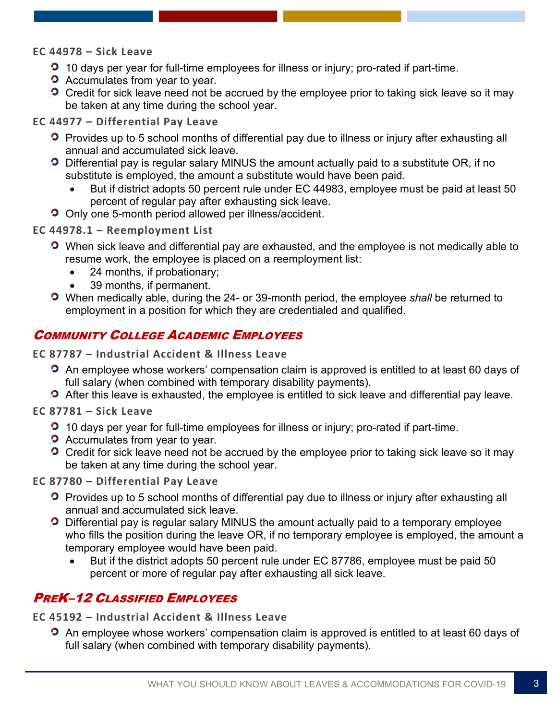#### **EC 44978 – Sick Leave**

- **2** 10 days per year for full-time employees for illness or injury; pro-rated if part-time.
- **O** Accumulates from year to year.
- **O** Credit for sick leave need not be accrued by the employee prior to taking sick leave so it may be taken at any time during the school year.

#### **EC 44977 – Differential Pay Leave**

- **P** Provides up to 5 school months of differential pay due to illness or injury after exhausting all annual and accumulated sick leave.
- **D** Differential pay is regular salary MINUS the amount actually paid to a substitute OR, if no substitute is employed, the amount a substitute would have been paid.
	- But if district adopts 50 percent rule under EC 44983, employee must be paid at least 50 percent of regular pay after exhausting sick leave.
- **O** Only one 5-month period allowed per illness/accident.

#### **EC 44978.1 – Reemployment List**

- **O** When sick leave and differential pay are exhausted, and the employee is not medically able to resume work, the employee is placed on a reemployment list:
	- 24 months, if probationary;
	- 39 months, if permanent.
- When medically able, during the 24- or 39-month period, the employee *shall* be returned to employment in a position for which they are credentialed and qualified.

#### COMMUNITY COLLEGE ACADEMIC EMPLOYEES

**EC 87787 – Industrial Accident & Illness Leave**

- **O** An employee whose workers' compensation claim is approved is entitled to at least 60 days of full salary (when combined with temporary disability payments).
- **O** After this leave is exhausted, the employee is entitled to sick leave and differential pay leave.

**EC 87781 – Sick Leave**

- 10 days per year for full-time employees for illness or injury; pro-rated if part-time.
- **O** Accumulates from year to year.
- **O** Credit for sick leave need not be accrued by the employee prior to taking sick leave so it may be taken at any time during the school year.

**EC 87780 – Differential Pay Leave**

- **P** Provides up to 5 school months of differential pay due to illness or injury after exhausting all annual and accumulated sick leave.
- **D** Differential pay is regular salary MINUS the amount actually paid to a temporary employee who fills the position during the leave OR, if no temporary employee is employed, the amount a temporary employee would have been paid.
	- But if the district adopts 50 percent rule under EC 87786, employee must be paid 50 percent or more of regular pay after exhausting all sick leave.

### PREK–12 CLASSIFIED EMPLOYEES

**EC 45192 – Industrial Accident & Illness Leave**

**O** An employee whose workers' compensation claim is approved is entitled to at least 60 days of full salary (when combined with temporary disability payments).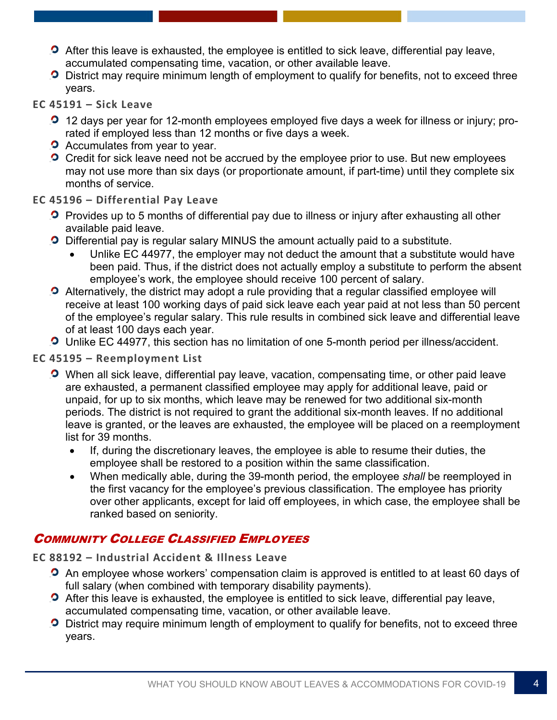- **O** After this leave is exhausted, the employee is entitled to sick leave, differential pay leave, accumulated compensating time, vacation, or other available leave.
- **O** District may require minimum length of employment to qualify for benefits, not to exceed three years.

#### **EC 45191 – Sick Leave**

- 12 days per year for 12-month employees employed five days a week for illness or injury; prorated if employed less than 12 months or five days a week.
- **O** Accumulates from year to year.
- **O** Credit for sick leave need not be accrued by the employee prior to use. But new employees may not use more than six days (or proportionate amount, if part-time) until they complete six months of service.

#### **EC 45196 – Differential Pay Leave**

- **P** Provides up to 5 months of differential pay due to illness or injury after exhausting all other available paid leave.
- **D** Differential pay is regular salary MINUS the amount actually paid to a substitute.
	- Unlike EC 44977, the employer may not deduct the amount that a substitute would have been paid. Thus, if the district does not actually employ a substitute to perform the absent employee's work, the employee should receive 100 percent of salary.
- **O** Alternatively, the district may adopt a rule providing that a regular classified employee will receive at least 100 working days of paid sick leave each year paid at not less than 50 percent of the employee's regular salary. This rule results in combined sick leave and differential leave of at least 100 days each year.
- Unlike EC 44977, this section has no limitation of one 5-month period per illness/accident.

#### **EC 45195 – Reemployment List**

- **O** When all sick leave, differential pay leave, vacation, compensating time, or other paid leave are exhausted, a permanent classified employee may apply for additional leave, paid or unpaid, for up to six months, which leave may be renewed for two additional six-month periods. The district is not required to grant the additional six-month leaves. If no additional leave is granted, or the leaves are exhausted, the employee will be placed on a reemployment list for 39 months.
	- If, during the discretionary leaves, the employee is able to resume their duties, the employee shall be restored to a position within the same classification.
	- When medically able, during the 39-month period, the employee *shall* be reemployed in the first vacancy for the employee's previous classification. The employee has priority over other applicants, except for laid off employees, in which case, the employee shall be ranked based on seniority.

# COMMUNITY COLLEGE CLASSIFIED EMPLOYEES

**EC 88192 – Industrial Accident & Illness Leave**

- **P** An employee whose workers' compensation claim is approved is entitled to at least 60 days of full salary (when combined with temporary disability payments).
- **O** After this leave is exhausted, the employee is entitled to sick leave, differential pay leave, accumulated compensating time, vacation, or other available leave.
- **O** District may require minimum length of employment to qualify for benefits, not to exceed three years.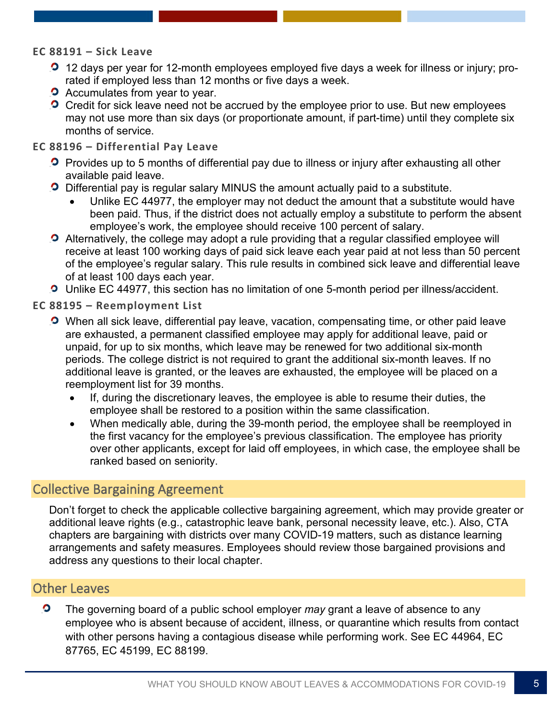#### **EC 88191 – Sick Leave**

- **2** 12 days per year for 12-month employees employed five days a week for illness or injury; prorated if employed less than 12 months or five days a week.
- **O** Accumulates from year to year.
- **O** Credit for sick leave need not be accrued by the employee prior to use. But new employees may not use more than six days (or proportionate amount, if part-time) until they complete six months of service.

#### **EC 88196 – Differential Pay Leave**

- **P** Provides up to 5 months of differential pay due to illness or injury after exhausting all other available paid leave.
- **O** Differential pay is regular salary MINUS the amount actually paid to a substitute.
	- Unlike EC 44977, the employer may not deduct the amount that a substitute would have been paid. Thus, if the district does not actually employ a substitute to perform the absent employee's work, the employee should receive 100 percent of salary.
- **O** Alternatively, the college may adopt a rule providing that a regular classified employee will receive at least 100 working days of paid sick leave each year paid at not less than 50 percent of the employee's regular salary. This rule results in combined sick leave and differential leave of at least 100 days each year.
- Unlike EC 44977, this section has no limitation of one 5-month period per illness/accident.

**EC 88195 – Reemployment List**

- When all sick leave, differential pay leave, vacation, compensating time, or other paid leave are exhausted, a permanent classified employee may apply for additional leave, paid or unpaid, for up to six months, which leave may be renewed for two additional six-month periods. The college district is not required to grant the additional six-month leaves. If no additional leave is granted, or the leaves are exhausted, the employee will be placed on a reemployment list for 39 months.
	- If, during the discretionary leaves, the employee is able to resume their duties, the employee shall be restored to a position within the same classification.
	- When medically able, during the 39-month period, the employee shall be reemployed in the first vacancy for the employee's previous classification. The employee has priority over other applicants, except for laid off employees, in which case, the employee shall be ranked based on seniority.

### Collective Bargaining Agreement

Don't forget to check the applicable collective bargaining agreement, which may provide greater or additional leave rights (e.g., catastrophic leave bank, personal necessity leave, etc.). Also, CTA chapters are bargaining with districts over many COVID-19 matters, such as distance learning arrangements and safety measures. Employees should review those bargained provisions and address any questions to their local chapter.

#### Other Leaves

 $\bullet$ The governing board of a public school employer *may* grant a leave of absence to any employee who is absent because of accident, illness, or quarantine which results from contact with other persons having a contagious disease while performing work. See EC 44964, EC 87765, EC 45199, EC 88199.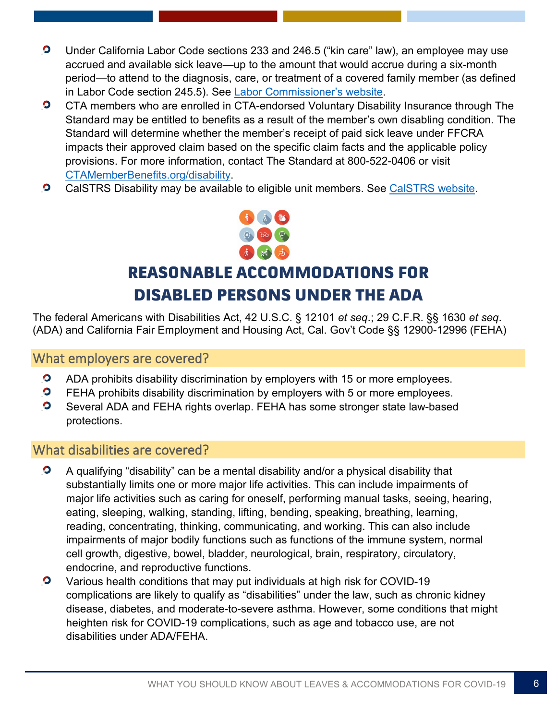- $\bullet$ Under California Labor Code sections 233 and 246.5 ("kin care" law), an employee may use accrued and available sick leave—up to the amount that would accrue during a six-month period—to attend to the diagnosis, care, or treatment of a covered family member (as defined in Labor Code section 245.5). See [Labor Commissioner's website.](https://www.dir.ca.gov/dlse/paid_sick_leave.htm)
- $\bullet$ CTA members who are enrolled in CTA-endorsed Voluntary Disability Insurance through The Standard may be entitled to benefits as a result of the member's own disabling condition. The Standard will determine whether the member's receipt of paid sick leave under FFCRA impacts their approved claim based on the specific claim facts and the applicable policy provisions. For more information, contact The Standard at 800-522-0406 or visit [CTAMemberBenefits.org/disability.](http://www.ctamemberbenefits.org/disability)
- $\bullet$ CalSTRS Disability may be available to eligible unit members. See [CalSTRS website.](https://www.calstrs.com/disability-benefits)



# **REASONABLE ACCOMMODATIONS FOR DISABLED PERSONS UNDER THE ADA**

The federal Americans with Disabilities Act, 42 U.S.C. § 12101 *et seq*.; 29 C.F.R. §§ 1630 *et seq*. (ADA) and California Fair Employment and Housing Act, Cal. Gov't Code §§ 12900-12996 (FEHA)

#### What employers are covered?

- $\bullet$ ADA prohibits disability discrimination by employers with 15 or more employees.
- $\bullet$ FEHA prohibits disability discrimination by employers with 5 or more employees.
- $\bullet$ Several ADA and FEHA rights overlap. FEHA has some stronger state law-based protections.

### What disabilities are covered?

- $\bullet$ A qualifying "disability" can be a mental disability and/or a physical disability that substantially limits one or more major life activities. This can include impairments of major life activities such as caring for oneself, performing manual tasks, seeing, hearing, eating, sleeping, walking, standing, lifting, bending, speaking, breathing, learning, reading, concentrating, thinking, communicating, and working. This can also include impairments of major bodily functions such as functions of the immune system, normal cell growth, digestive, bowel, bladder, neurological, brain, respiratory, circulatory, endocrine, and reproductive functions.
- $\bullet$ Various health conditions that may put individuals at high risk for COVID-19 complications are likely to qualify as "disabilities" under the law, such as chronic kidney disease, diabetes, and moderate-to-severe asthma. However, some conditions that might heighten risk for COVID-19 complications, such as age and tobacco use, are not disabilities under ADA/FEHA.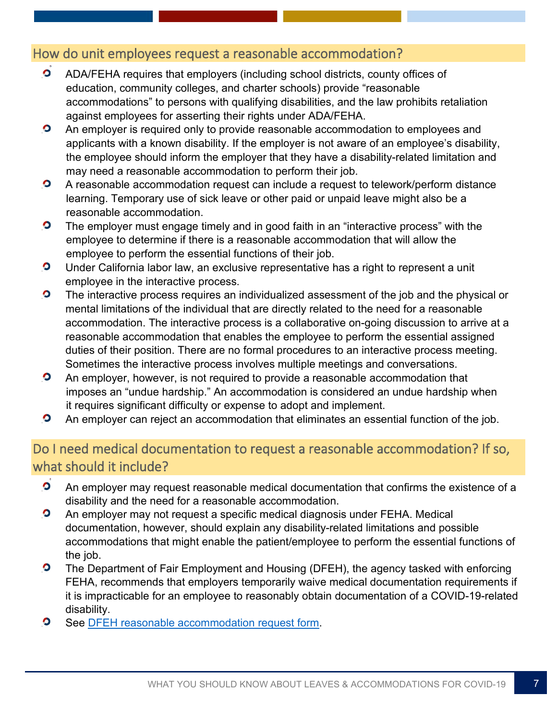# How do unit employees request a reasonable accommodation?

- $\overline{\mathbf{o}}$ ADA/FEHA requires that employers (including school districts, county offices of education, community colleges, and charter schools) provide "reasonable accommodations" to persons with qualifying disabilities, and the law prohibits retaliation against employees for asserting their rights under ADA/FEHA.
- $\bullet$ An employer is required only to provide reasonable accommodation to employees and applicants with a known disability. If the employer is not aware of an employee's disability, the employee should inform the employer that they have a disability-related limitation and may need a reasonable accommodation to perform their job.
- $\bullet$ A reasonable accommodation request can include a request to telework/perform distance learning. Temporary use of sick leave or other paid or unpaid leave might also be a reasonable accommodation.
- $\bullet$ The employer must engage timely and in good faith in an "interactive process" with the employee to determine if there is a reasonable accommodation that will allow the employee to perform the essential functions of their job.
- $\bullet$ Under California labor law, an exclusive representative has a right to represent a unit employee in the interactive process.
- $\bullet$ The interactive process requires an individualized assessment of the job and the physical or mental limitations of the individual that are directly related to the need for a reasonable accommodation. The interactive process is a collaborative on-going discussion to arrive at a reasonable accommodation that enables the employee to perform the essential assigned duties of their position. There are no formal procedures to an interactive process meeting. Sometimes the interactive process involves multiple meetings and conversations.
- $\bullet$ An employer, however, is not required to provide a reasonable accommodation that imposes an "undue hardship." An accommodation is considered an undue hardship when it requires significant difficulty or expense to adopt and implement.
- $\bullet$ An employer can reject an accommodation that eliminates an essential function of the job.

# Do I need medical documentation to request a reasonable accommodation? If so, what should it include?

- $\bullet$ An employer may request reasonable medical documentation that confirms the existence of a disability and the need for a reasonable accommodation.
- $\bullet$ An employer may not request a specific medical diagnosis under FEHA. Medical documentation, however, should explain any disability-related limitations and possible accommodations that might enable the patient/employee to perform the essential functions of the job.
- $\bullet$ The Department of Fair Employment and Housing (DFEH), the agency tasked with enforcing FEHA, recommends that employers temporarily waive medical documentation requirements if it is impracticable for an employee to reasonably obtain documentation of a COVID-19-related disability.
- $\bullet$ See [DFEH reasonable accommodation request form.](https://www.dfeh.ca.gov/wp-content/uploads/sites/32/2017/06/Request4ReasonableAccommodationPackage.pdf)